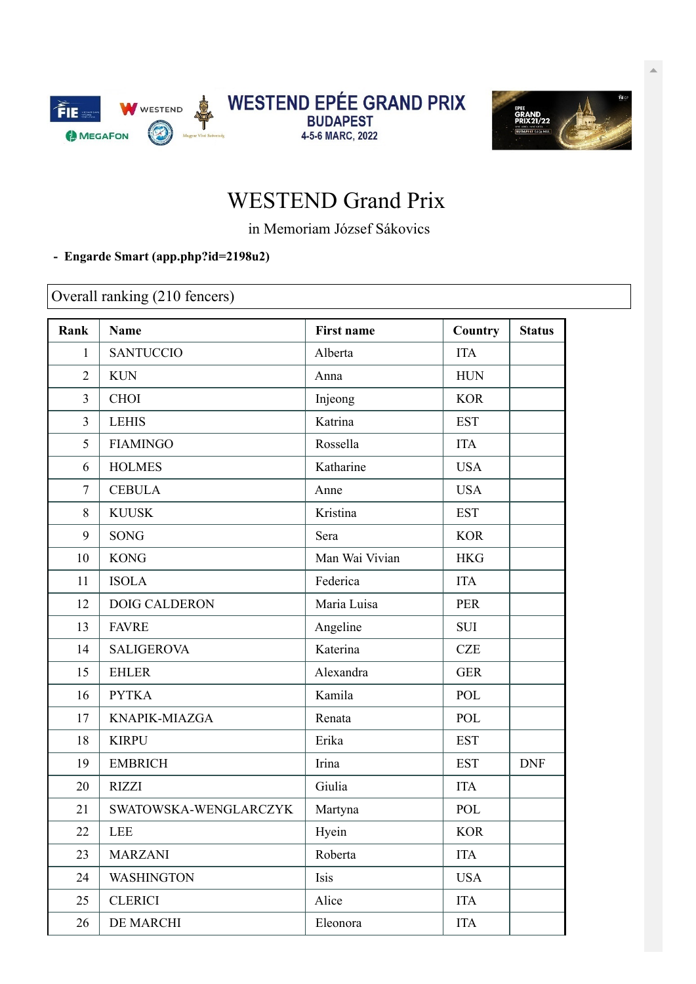



## WESTEND Grand Prix

in Memoriam József Sákovics

## **- Engarde Smart [\(app.php?id=2198u2\)](https://engarde-service.com/app.php?id=2198u2)**

Overall ranking (210 fencers)

| Rank           | <b>Name</b>           | <b>First name</b> | Country    | <b>Status</b> |
|----------------|-----------------------|-------------------|------------|---------------|
| 1              | <b>SANTUCCIO</b>      | Alberta           | <b>ITA</b> |               |
| $\overline{2}$ | <b>KUN</b>            | Anna              | <b>HUN</b> |               |
| $\overline{3}$ | <b>CHOI</b>           | Injeong           | <b>KOR</b> |               |
| $\overline{3}$ | <b>LEHIS</b>          | Katrina           | <b>EST</b> |               |
| 5              | <b>FIAMINGO</b>       | Rossella          | <b>ITA</b> |               |
| 6              | <b>HOLMES</b>         | Katharine         | <b>USA</b> |               |
| 7              | <b>CEBULA</b>         | Anne              | <b>USA</b> |               |
| 8              | <b>KUUSK</b>          | Kristina          | <b>EST</b> |               |
| 9              | SONG                  | Sera              | <b>KOR</b> |               |
| 10             | <b>KONG</b>           | Man Wai Vivian    | <b>HKG</b> |               |
| 11             | <b>ISOLA</b>          | Federica          | <b>ITA</b> |               |
| 12             | <b>DOIG CALDERON</b>  | Maria Luisa       | <b>PER</b> |               |
| 13             | <b>FAVRE</b>          | Angeline          | <b>SUI</b> |               |
| 14             | <b>SALIGEROVA</b>     | Katerina          | <b>CZE</b> |               |
| 15             | <b>EHLER</b>          | Alexandra         | <b>GER</b> |               |
| 16             | <b>PYTKA</b>          | Kamila            | POL        |               |
| 17             | KNAPIK-MIAZGA         | Renata            | POL        |               |
| 18             | <b>KIRPU</b>          | Erika             | <b>EST</b> |               |
| 19             | <b>EMBRICH</b>        | Irina             | <b>EST</b> | <b>DNF</b>    |
| 20             | <b>RIZZI</b>          | Giulia            | <b>ITA</b> |               |
| 21             | SWATOWSKA-WENGLARCZYK | Martyna           | POL        |               |
| 22             | <b>LEE</b>            | Hyein             | <b>KOR</b> |               |
| 23             | <b>MARZANI</b>        | Roberta           | <b>ITA</b> |               |
| 24             | <b>WASHINGTON</b>     | Isis              | <b>USA</b> |               |
| 25             | <b>CLERICI</b>        | Alice             | <b>ITA</b> |               |
| 26             | DE MARCHI             | Eleonora          | <b>ITA</b> |               |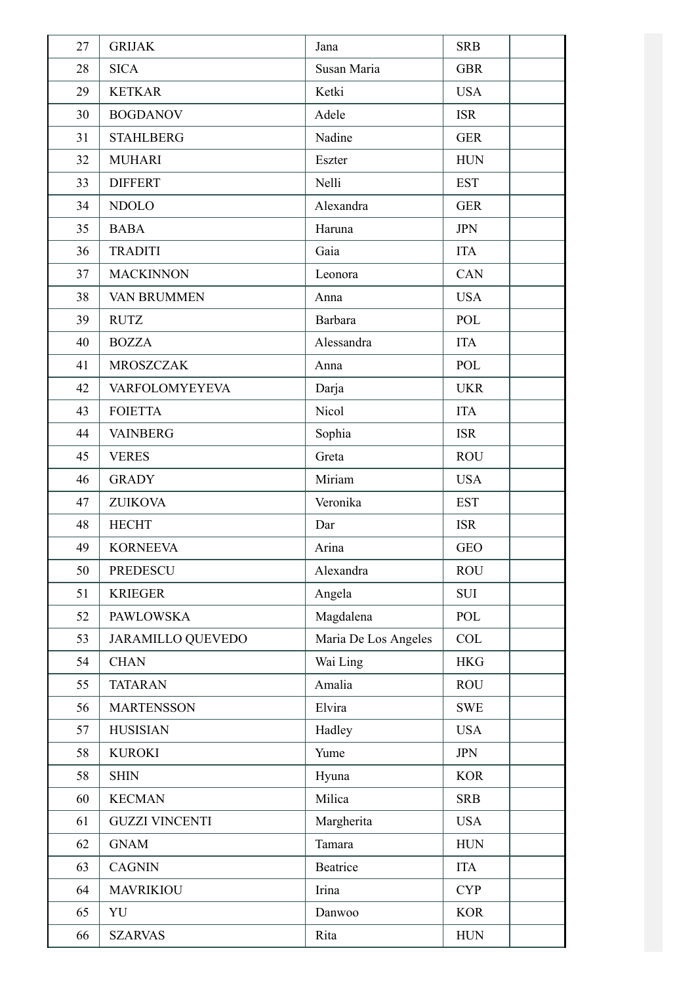| 27 | <b>GRIJAK</b>            | Jana                 | <b>SRB</b> |
|----|--------------------------|----------------------|------------|
| 28 | <b>SICA</b>              | Susan Maria          | <b>GBR</b> |
| 29 | <b>KETKAR</b>            | Ketki                | <b>USA</b> |
| 30 | <b>BOGDANOV</b>          | Adele                | <b>ISR</b> |
| 31 | <b>STAHLBERG</b>         | Nadine               | <b>GER</b> |
| 32 | <b>MUHARI</b>            | Eszter               | <b>HUN</b> |
| 33 | <b>DIFFERT</b>           | Nelli                | <b>EST</b> |
| 34 | <b>NDOLO</b>             | Alexandra            | <b>GER</b> |
| 35 | <b>BABA</b>              | Haruna               | <b>JPN</b> |
| 36 | <b>TRADITI</b>           | Gaia                 | <b>ITA</b> |
| 37 | <b>MACKINNON</b>         | Leonora              | CAN        |
| 38 | <b>VAN BRUMMEN</b>       | Anna                 | <b>USA</b> |
| 39 | <b>RUTZ</b>              | Barbara              | POL        |
| 40 | <b>BOZZA</b>             | Alessandra           | <b>ITA</b> |
| 41 | <b>MROSZCZAK</b>         | Anna                 | POL        |
| 42 | VARFOLOMYEYEVA           | Darja                | <b>UKR</b> |
| 43 | <b>FOIETTA</b>           | Nicol                | <b>ITA</b> |
| 44 | <b>VAINBERG</b>          | Sophia               | <b>ISR</b> |
| 45 | <b>VERES</b>             | Greta                | <b>ROU</b> |
| 46 | <b>GRADY</b>             | Miriam               | <b>USA</b> |
| 47 | <b>ZUIKOVA</b>           | Veronika             | <b>EST</b> |
| 48 | <b>HECHT</b>             | Dar                  | <b>ISR</b> |
| 49 | <b>KORNEEVA</b>          | Arina                | <b>GEO</b> |
| 50 | PREDESCU                 | Alexandra            | <b>ROU</b> |
| 51 | <b>KRIEGER</b>           | Angela               | <b>SUI</b> |
| 52 | <b>PAWLOWSKA</b>         | Magdalena            | POL        |
| 53 | <b>JARAMILLO QUEVEDO</b> | Maria De Los Angeles | COL        |
| 54 | <b>CHAN</b>              | Wai Ling             | <b>HKG</b> |
| 55 | <b>TATARAN</b>           | Amalia               | <b>ROU</b> |
| 56 | <b>MARTENSSON</b>        | Elvira               | <b>SWE</b> |
| 57 | <b>HUSISIAN</b>          | Hadley               | <b>USA</b> |
| 58 | <b>KUROKI</b>            | Yume                 | <b>JPN</b> |
| 58 | <b>SHIN</b>              | Hyuna                | <b>KOR</b> |
| 60 | <b>KECMAN</b>            | Milica               | <b>SRB</b> |
| 61 | <b>GUZZI VINCENTI</b>    | Margherita           | <b>USA</b> |
| 62 | <b>GNAM</b>              | Tamara               | <b>HUN</b> |
| 63 | <b>CAGNIN</b>            | <b>Beatrice</b>      | <b>ITA</b> |
| 64 | <b>MAVRIKIOU</b>         | Irina                | <b>CYP</b> |
| 65 | YU                       | Danwoo               | <b>KOR</b> |
| 66 | <b>SZARVAS</b>           | Rita                 | <b>HUN</b> |
|    |                          |                      |            |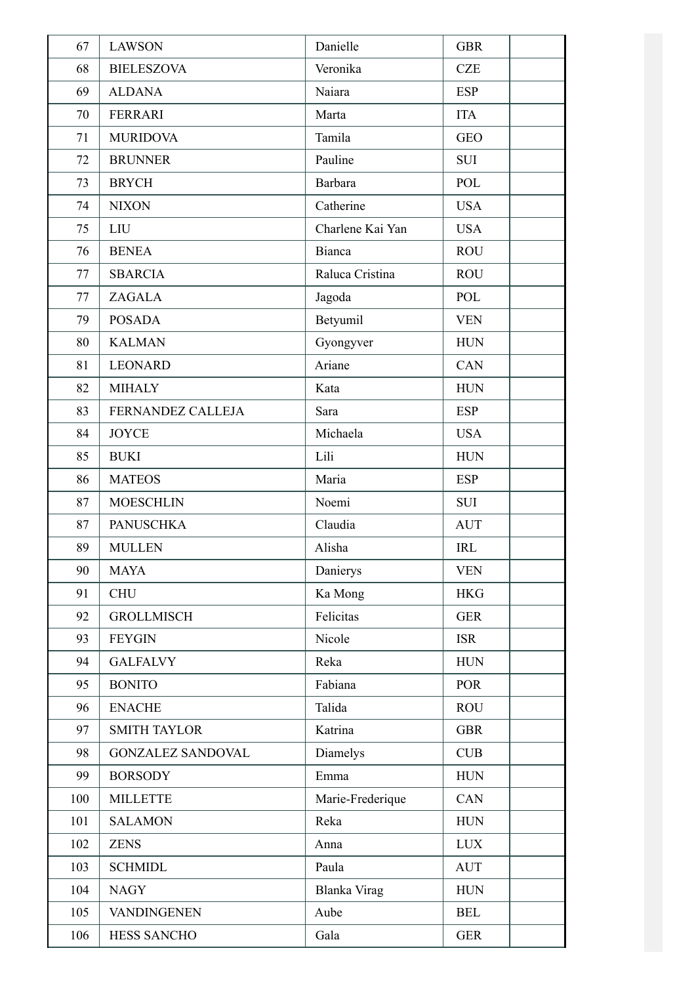| 67  | <b>LAWSON</b>            | Danielle         | <b>GBR</b>  |
|-----|--------------------------|------------------|-------------|
| 68  | <b>BIELESZOVA</b>        | Veronika         | <b>CZE</b>  |
| 69  | <b>ALDANA</b>            | Naiara           | <b>ESP</b>  |
| 70  | <b>FERRARI</b>           | Marta            | <b>ITA</b>  |
| 71  | <b>MURIDOVA</b>          | Tamila           | <b>GEO</b>  |
| 72  | <b>BRUNNER</b>           | Pauline          | <b>SUI</b>  |
| 73  | <b>BRYCH</b>             | Barbara          | POL         |
| 74  | <b>NIXON</b>             | Catherine        | <b>USA</b>  |
| 75  | LIU                      | Charlene Kai Yan | <b>USA</b>  |
| 76  | <b>BENEA</b>             | Bianca           | <b>ROU</b>  |
| 77  | <b>SBARCIA</b>           | Raluca Cristina  | <b>ROU</b>  |
| 77  | ZAGALA                   | Jagoda           | POL         |
| 79  | <b>POSADA</b>            | Betyumil         | <b>VEN</b>  |
| 80  | <b>KALMAN</b>            | Gyongyver        | <b>HUN</b>  |
| 81  | <b>LEONARD</b>           | Ariane           | CAN         |
| 82  | <b>MIHALY</b>            | Kata             | <b>HUN</b>  |
| 83  | FERNANDEZ CALLEJA        | Sara             | <b>ESP</b>  |
| 84  | <b>JOYCE</b>             | Michaela         | <b>USA</b>  |
| 85  | <b>BUKI</b>              | Lili             | <b>HUN</b>  |
| 86  | <b>MATEOS</b>            | Maria            | <b>ESP</b>  |
| 87  | <b>MOESCHLIN</b>         | Noemi            | <b>SUI</b>  |
| 87  | <b>PANUSCHKA</b>         | Claudia          | <b>AUT</b>  |
| 89  | <b>MULLEN</b>            | Alisha           | IRL         |
| 90  | <b>MAYA</b>              | Danierys         | <b>VEN</b>  |
| 91  | <b>CHU</b>               | Ka Mong          | <b>HKG</b>  |
| 92  | <b>GROLLMISCH</b>        | Felicitas        | <b>GER</b>  |
| 93  | <b>FEYGIN</b>            | Nicole           | <b>ISR</b>  |
| 94  | <b>GALFALVY</b>          | Reka             | <b>HUN</b>  |
| 95  | <b>BONITO</b>            | Fabiana          | <b>POR</b>  |
| 96  | <b>ENACHE</b>            | Talida           | <b>ROU</b>  |
| 97  | <b>SMITH TAYLOR</b>      | Katrina          | <b>GBR</b>  |
| 98  | <b>GONZALEZ SANDOVAL</b> | Diamelys         | CUB         |
| 99  | <b>BORSODY</b>           | Emma             | <b>HUN</b>  |
| 100 | <b>MILLETTE</b>          | Marie-Frederique | CAN         |
| 101 | <b>SALAMON</b>           | Reka             | <b>HUN</b>  |
| 102 | <b>ZENS</b>              | Anna             | <b>LUX</b>  |
| 103 | <b>SCHMIDL</b>           | Paula            | <b>AUT</b>  |
| 104 | <b>NAGY</b>              | Blanka Virag     | ${\rm HUN}$ |
| 105 | <b>VANDINGENEN</b>       | Aube             | <b>BEL</b>  |
| 106 | <b>HESS SANCHO</b>       | Gala             | <b>GER</b>  |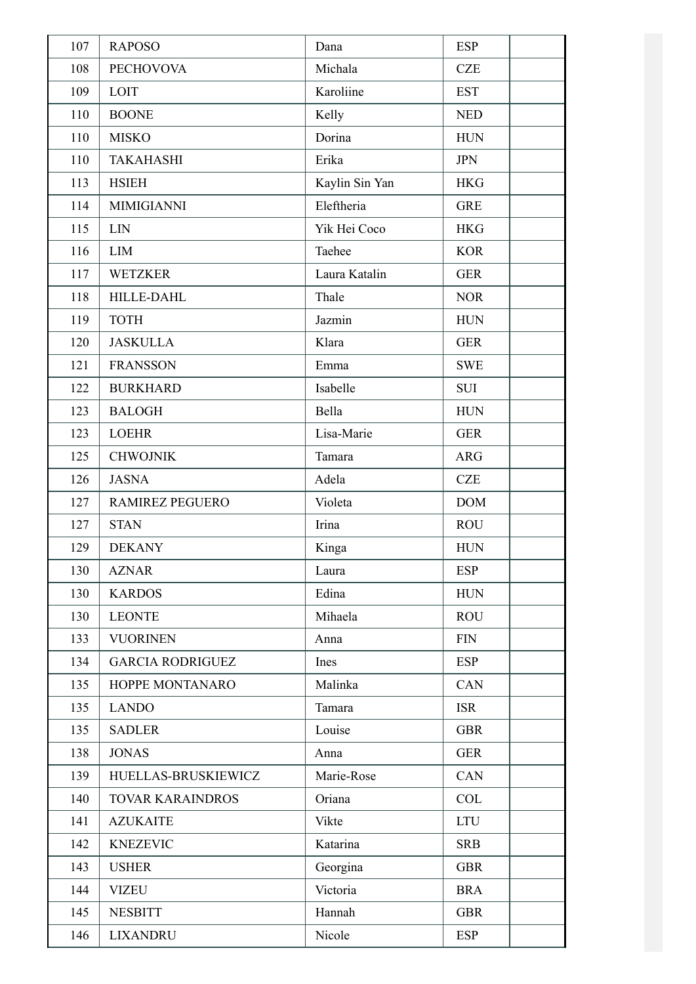| 107 | <b>RAPOSO</b>           | Dana           | <b>ESP</b> |
|-----|-------------------------|----------------|------------|
| 108 | <b>PECHOVOVA</b>        | Michala        | <b>CZE</b> |
| 109 | LOIT                    | Karoliine      | <b>EST</b> |
| 110 | <b>BOONE</b>            | Kelly          | <b>NED</b> |
| 110 | <b>MISKO</b>            | Dorina         | <b>HUN</b> |
| 110 | <b>TAKAHASHI</b>        | Erika          | <b>JPN</b> |
| 113 | <b>HSIEH</b>            | Kaylin Sin Yan | <b>HKG</b> |
| 114 | <b>MIMIGIANNI</b>       | Eleftheria     | <b>GRE</b> |
| 115 | LIN                     | Yik Hei Coco   | <b>HKG</b> |
| 116 | LIM                     | Taehee         | <b>KOR</b> |
| 117 | <b>WETZKER</b>          | Laura Katalin  | <b>GER</b> |
| 118 | <b>HILLE-DAHL</b>       | Thale          | <b>NOR</b> |
| 119 | <b>TOTH</b>             | Jazmin         | <b>HUN</b> |
| 120 | <b>JASKULLA</b>         | Klara          | <b>GER</b> |
| 121 | <b>FRANSSON</b>         | Emma           | <b>SWE</b> |
| 122 | <b>BURKHARD</b>         | Isabelle       | <b>SUI</b> |
| 123 | <b>BALOGH</b>           | Bella          | <b>HUN</b> |
| 123 | <b>LOEHR</b>            | Lisa-Marie     | <b>GER</b> |
| 125 | <b>CHWOJNIK</b>         | Tamara         | <b>ARG</b> |
| 126 | <b>JASNA</b>            | Adela          | <b>CZE</b> |
| 127 | <b>RAMIREZ PEGUERO</b>  | Violeta        | <b>DOM</b> |
| 127 | <b>STAN</b>             | Irina          | <b>ROU</b> |
| 129 | <b>DEKANY</b>           | Kinga          | <b>HUN</b> |
| 130 | <b>AZNAR</b>            | Laura          | <b>ESP</b> |
| 130 | <b>KARDOS</b>           | Edina          | <b>HUN</b> |
| 130 | <b>LEONTE</b>           | Mihaela        | <b>ROU</b> |
| 133 | <b>VUORINEN</b>         | Anna           | <b>FIN</b> |
| 134 | <b>GARCIA RODRIGUEZ</b> | Ines           | <b>ESP</b> |
| 135 | HOPPE MONTANARO         | Malinka        | <b>CAN</b> |
| 135 | <b>LANDO</b>            | Tamara         | <b>ISR</b> |
| 135 | <b>SADLER</b>           | Louise         | <b>GBR</b> |
| 138 | <b>JONAS</b>            | Anna           | <b>GER</b> |
| 139 | HUELLAS-BRUSKIEWICZ     | Marie-Rose     | <b>CAN</b> |
| 140 | <b>TOVAR KARAINDROS</b> | Oriana         | <b>COL</b> |
| 141 | <b>AZUKAITE</b>         | Vikte          | <b>LTU</b> |
| 142 | <b>KNEZEVIC</b>         | Katarina       | <b>SRB</b> |
| 143 | <b>USHER</b>            | Georgina       | <b>GBR</b> |
| 144 | VIZEU                   | Victoria       | <b>BRA</b> |
| 145 | <b>NESBITT</b>          | Hannah         | <b>GBR</b> |
| 146 | <b>LIXANDRU</b>         | Nicole         | <b>ESP</b> |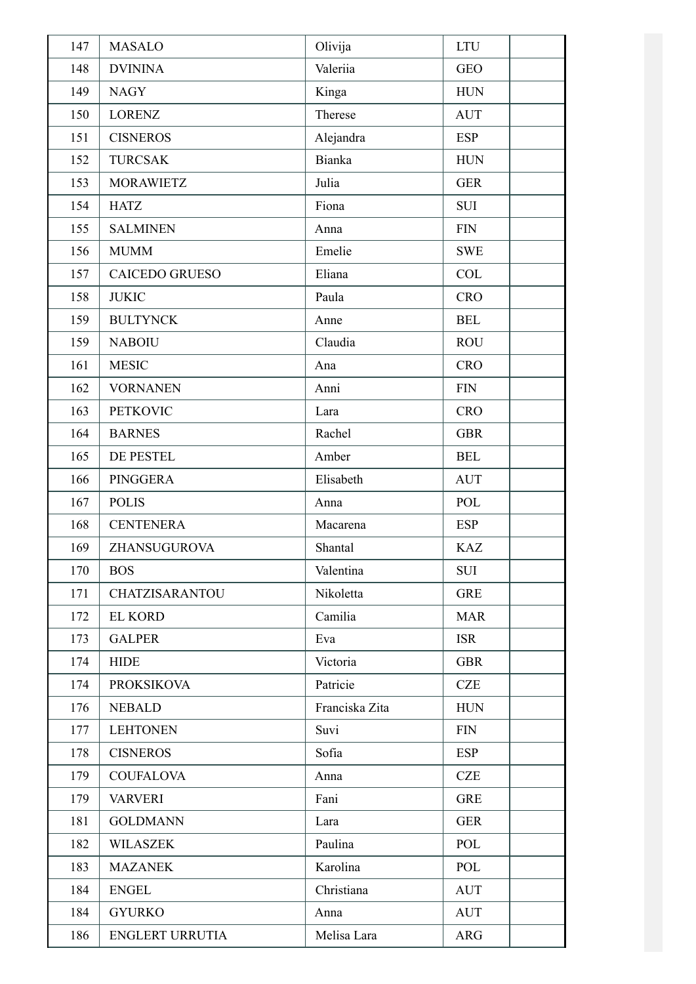| 147 | <b>MASALO</b>          | Olivija        | <b>LTU</b> |
|-----|------------------------|----------------|------------|
| 148 | <b>DVININA</b>         | Valeriia       | <b>GEO</b> |
| 149 | <b>NAGY</b>            | Kinga          | <b>HUN</b> |
| 150 | <b>LORENZ</b>          | Therese        | <b>AUT</b> |
| 151 | <b>CISNEROS</b>        | Alejandra      | <b>ESP</b> |
| 152 | <b>TURCSAK</b>         | <b>Bianka</b>  | <b>HUN</b> |
| 153 | <b>MORAWIETZ</b>       | Julia          | <b>GER</b> |
| 154 | <b>HATZ</b>            | Fiona          | <b>SUI</b> |
| 155 | <b>SALMINEN</b>        | Anna           | <b>FIN</b> |
| 156 | <b>MUMM</b>            | Emelie         | <b>SWE</b> |
| 157 | <b>CAICEDO GRUESO</b>  | Eliana         | COL        |
| 158 | <b>JUKIC</b>           | Paula          | <b>CRO</b> |
| 159 | <b>BULTYNCK</b>        | Anne           | <b>BEL</b> |
| 159 | <b>NABOIU</b>          | Claudia        | <b>ROU</b> |
| 161 | <b>MESIC</b>           | Ana            | <b>CRO</b> |
| 162 | <b>VORNANEN</b>        | Anni           | <b>FIN</b> |
| 163 | <b>PETKOVIC</b>        | Lara           | <b>CRO</b> |
| 164 | <b>BARNES</b>          | Rachel         | <b>GBR</b> |
| 165 | DE PESTEL              | Amber          | <b>BEL</b> |
| 166 | <b>PINGGERA</b>        | Elisabeth      | <b>AUT</b> |
| 167 | <b>POLIS</b>           | Anna           | POL        |
| 168 | <b>CENTENERA</b>       | Macarena       | <b>ESP</b> |
| 169 | ZHANSUGUROVA           | Shantal        | <b>KAZ</b> |
| 170 | <b>BOS</b>             | Valentina      | SUI        |
| 171 | CHATZISARANTOU         | Nikoletta      | <b>GRE</b> |
| 172 | <b>EL KORD</b>         | Camilia        | <b>MAR</b> |
| 173 | <b>GALPER</b>          | Eva            | <b>ISR</b> |
| 174 | <b>HIDE</b>            | Victoria       | <b>GBR</b> |
| 174 | <b>PROKSIKOVA</b>      | Patricie       | <b>CZE</b> |
| 176 | <b>NEBALD</b>          | Franciska Zita | <b>HUN</b> |
| 177 | <b>LEHTONEN</b>        | Suvi           | <b>FIN</b> |
| 178 | <b>CISNEROS</b>        | Sofia          | <b>ESP</b> |
| 179 | <b>COUFALOVA</b>       | Anna           | <b>CZE</b> |
| 179 | <b>VARVERI</b>         | Fani           | <b>GRE</b> |
| 181 | <b>GOLDMANN</b>        | Lara           | <b>GER</b> |
| 182 | <b>WILASZEK</b>        | Paulina        | POL        |
| 183 | <b>MAZANEK</b>         | Karolina       | POL        |
| 184 | <b>ENGEL</b>           | Christiana     | <b>AUT</b> |
| 184 | <b>GYURKO</b>          | Anna           | <b>AUT</b> |
| 186 | <b>ENGLERT URRUTIA</b> | Melisa Lara    | ARG        |